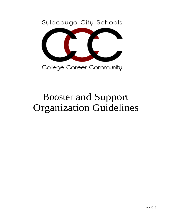Sylacauga City Schools



College Career Community

# Booster and Support Organization Guidelines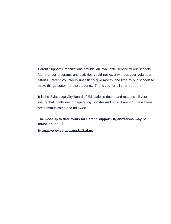Parent Support Organizations provide an invaluable service to our schools. Many of our programs and activities could not exist without your volunteer efforts. Parent Volunteers unselfishly give money and time to our schools to make things better for the students. Thank you for all your support!

It is the Sylacauga City Board of Education's desire and responsibility to insure that guidelines for operating Booster and other Parent Organizations are communicated and followed.

**The most up to date forms for Parent Support Organizations may be found online** at:

**https:[//www.sylacauga.k12.al.us](http://www.madison.k12.al.us/)**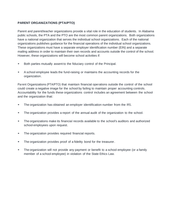# **PARENT ORGANIZATIONS (PTA/PTO)**

Parent and parent/teacher organizations provide a vital role in the education of students. In Alabama public schools, the PTA and the PTO are the most common parent organizations. Both organizations have a national organization that serves the individual school organizations. Each of the national organizations publishes guidance for the financial operations of the individual school organizations. These organizations must have a separate employer identification number (EIN) and a separate mailing address in order to maintain their own records and accounts outside the control of the school. However, these organizations will become school activities if:

- Both parties mutually assent to the fiduciary control of the Principal.
- <sup>A</sup> school employee leads the fund-raising or maintains the accounting records for the organization.

Parent Organizations (PTA/PTO) that maintain financial operations outside the control of the school could create a negative image for the school by failing to maintain proper accounting controls. Accountability for the funds these organizations control includes an agreement between the school and the organization that:

- The organization has obtained an employer identification number from the IRS.
- The organization provides <sup>a</sup> report of the annual audit of the organization to the school.
- The organizations make its financial records available to the school's auditors and authorized school employees upon request.
- The organization provides required financial reports.
- The organization provides proof of a fidelity bond for the treasurer.
- The organization will not provide any payment or benefit to <sup>a</sup> school employee (or <sup>a</sup> family member of a school employee) in violation of the State Ethics Law.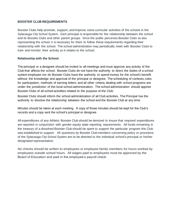# **BOOSTER CLUB REQUIREMENTS**

Booster Clubs help promote, support, and improve extra-curricular activities of the schools in the Sylacauga City School System. Each principal is responsible for the relationship between the school and its Booster Clubs and other parent groups. Since the public perceives Booster Clubs as also representing the school, it is necessary for them to follow these requirements regarding their relationship with the school. The school administration may periodically meet with Booster Clubs to train and monitor their activity as it relates to the school.

# **Relationship with the School:**

The principal or a designee should be invited to all meetings and must approve any activity of the Club that affects the school. Booster Clubs do not have the authority to direct the duties of a school system employee nor do Booster Clubs have the authority to spend money for the school's benefit without the knowledge and approval of the principal or designee. The scheduling of contests, rules for participation, methods of earning letters and all other criteria dealing with school programs are under the jurisdiction of the local school administration. The school administration should apprise Booster Clubs of all school activities related to the purpose of the Club.

Booster Clubs should inform the school administration of all Club activities. The Principal has the authority to dissolve the relationship between the school and the Booster Club at any time.

Minutes should be taken at each meeting. A copy of those minutes should be kept for the Club's records and a copy sent the school's principal or designee.

All expenditures of any Athletic Booster Club should be itemized to insure that required expenditures are reported in conjunction with gender equity state reporting requirements. All funds remaining in the treasury of a dissolved Booster Club should be spent to support the particular program the Club was established to support. All questions by Booster Club members concerning policy or procedure of the Sylacauga City School System are to be directed to the individual school's principal or his/her designated representative.

No checks should be written to employees or employee family members for hours worked by employees outside school hours. All wages paid to employees must be approved by the Board of Education and paid in the employee's payroll check.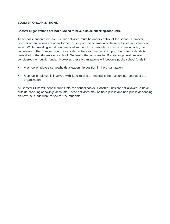# **BOOSTER ORGANIZATIONS**

## **Booster Organizations are not allowed to have outside checking accounts.**

All school sponsored extra-curricular activities must be under control of the school. However, Booster organizations are often formed to support the operation of these activities in a variety of ways. While providing additional financial support for a particular extra-curricular activity, the volunteers in the Booster organizations also enhance community support that often extends to benefit all of the students at a school. Generally, the activities for Booster organizations are considered non-public funds. However, these organizations will become public school funds if:

- <sup>A</sup> school employee serves/holds <sup>a</sup> leadership position in the organization.
- <sup>A</sup> school employee is involved with fund raising or maintains the accounting records of the organization.

All Booster Clubs will deposit funds into the school books. Booster Clubs are not allowed to have outside checking or savings accounts. These activities may be both public and non-public depending on how the funds were raised for the students.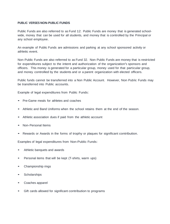## **PUBLIC VERSES NON-PUBLIC FUNDS**

Public Funds are also referred to as Fund 12. Public Funds are money that is generated schoolwide, money that can be used for all students, and money that is controlled by the Principal or any school employee.

An example of Public Funds are admissions and parking at any school sponsored activity or athletic event.

Non-Public Funds are also referred to as Fund 32. Non-Public Funds are money that is restricted for expenditures subject to the intent and authorization of the organization's sponsors and officers. This money is generated for a particular group, money used for that particular group, and money controlled by the students and or a parent organization with elected officers.

Public funds cannot be transferred into a Non Public Account. However, Non Public Funds may be transferred into Public accounts.

Example of legal expenditures from Public Funds:

- Pre-Game meals for athletes and coaches
- Athletic and Band Uniforms when the school retains them at the end of the season.
- Athletic association dues if paid from the athletic account
- Non-Personal Items
- Rewards or Awards in the forms of trophy or plaques for significant contribution.

Examples of legal expenditures from Non-Public Funds:

- Athletic banquets and awards
- Personal items that will be kept (T-shirts, warm ups)
- Championship rings
- **Scholarships**
- Coaches apparel
- Gift cards allowed for significant contribution to programs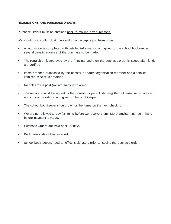# **REQUISITIONS AND PURCHASE ORDERS**

Purchase Orders must be obtained prior to making any purchases.

We should first confirm that the vendor will accept a purchase order.

- <sup>A</sup> requisition is completed with detailed information and given to the school bookkeeper several days in advance of the purchase to be made.
- The requisition is approved by the Principal and then the purchase order is issued after funds are verified.
- Items are then purchased by the booster or parent organization member and <sup>a</sup> detailed, itemized receipt is obtained.
- No sales tax is paid (we are sales tax exempt).
- The receipt should be signed by the booster or parent showing that all items were received and in good condition and given to the bookkeeper.
- The school bookkeeper should pay for the items on the next check run.
- We are not allowed to pay for items before we receive them. Merchandise must be in hand before payment is made.
- Purchase Orders are Void after <sup>90</sup> days.
- Back orders should be avoided.
- School bookkeepers need an officer's signature prior to issuing the purchase order.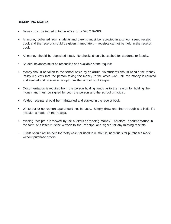# **RECEIPTING MONEY**

- Money must be turned in to the office on <sup>a</sup> DAILY BASIS.
- All money collected from students and parents must be receipted in a school issued receipt book and the receipt should be given immediately – receipts cannot be held in the receipt book.
- All money should be deposited intact. No checks should be cashed for students or faculty.
- Student balances must be reconciled and available at the request.
- Money should be taken to the school office by an adult. No students should handle the money. Policy requests that the person taking the money to the office wait until the money is counted and verified and receive a receipt from the school bookkeeper.
- Documentation is required from the person holding funds as to the reason for holding the money and must be signed by both the person and the school principal.
- Voided receipts should be maintained and stapled in the receipt book.
- White-out or correction tape should not be used. Simply draw one line through and initial if <sup>a</sup> mistake is made on the receipt.
- Missing receipts are viewed by the auditors as missing money. Therefore, documentation in the form of a letter must be written to the Principal and signed for any missing receipts.
- Funds should not be held for "petty cash" or used to reimburse individuals for purchases made without purchase orders.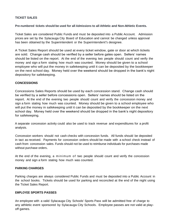# **TICKET SALES**

# **Pre-numbered tickets should be used for all Admissions to all Athletic and Non-Athletic Events.**

Ticket Sales are considered Public Funds and must be deposited into <sup>a</sup> Public Account. Admission prices are set by the Sylacauga City Board of Education and cannot be changed unless approval has been obtained by the Superintendent or the Superintendent's designee.

A Ticket Sales Report should be used at every ticket window, gate or door at which tickets are sold. Change cash should be verified by a seller before gates open. Sellers' names should be listed on the report. At the end of the evening two people should count and verify the money and sign a form stating how much was counted. Money should be given to a school employee who will put the money in safekeeping until it can be deposited by the bookkeeper on the next school day. Money held over the weekend should be dropped in the bank's night depository for safekeeping.

## **CONCESSIONS**

Concessions Sales Reports should be used by each concession stand. Change cash should be verified by a seller before concessions open. Sellers' names should be listed on the report. At the end of the evening two people should count and verify the concession money and sign a form stating how much was counted. Money should be given to a school employee who will put the money in safekeeping until it can be deposited by the bookkeeper on the next school day. Money held over the weekend should be dropped in the bank's night depository for safekeeping.

A separate concession activity could also be used to track revenue and expenditures for a profit analysis.

Concession workers should not cash checks with concession funds. All funds should be deposited in tact as received. Payments for concession orders should be made with a school check instead of cash from concession sales. Funds should not be used to reimburse individuals for purchases made without purchase orders.

At the end of the evening, a minimum of two people should count and verify the concession money and sign a form stating how much was counted.

#### **PARKING CHARGES**

Parking charges are always considered Public Funds and must be deposited into a Public Account in the school books. Tickets should be used for parking and reconciled at the end of the night using the Ticket Sales Report.

#### **EMPLOYEE SPORTS PASSES**

An employee with a valid Sylacauga City Schools' Sports Pass will be admitted free of charge to any athletic event sponsored by Sylacauga City Schools. Employee passes are not valid at playoff games.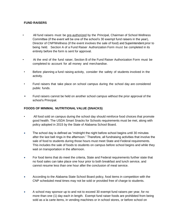# **FUND RAISERS**

- All fund raisers must be pre-authorized by the Principal, Chairman of School Wellness Committee (if the event will be one of the school's 30 exempt fund raisers in the year), Director of CNP/Wellness (if the event involves the sale of food) and Superintendent prior to being held. Section A of a Fund Raiser Authorization Form must be completed in its entirety before the form is sent for approval.
- At the end of the fund raiser, Section B of the Fund Raiser Authorization Form must be completed to account for all money and merchandise.
- Before planning a fund raising activity, consider the safety of students involved in the activity.
- Fund raisers that take place on school campus during the school day are considered public funds.
- Fund raisers cannot be held on another school campus without the prior approval of the school's Principal.

# **FOODS OF MINIMAL NUTRITIONAL VALUE (SNACKS)**

- All food sold on campus during the school day should reinforce food choices that promote good health. The USDA Smart Snacks for Schools requirements must be met, along with policy adopted in 2015 by the State of Alabama School Board.
- The school day is defined as "midnight the night before school begins until 30 minutes after the last bell rings in the afternoon." Therefore, all fundraising activities that involve the sale of food to students during those hours must meet State and Federal requirements. This includes the sale of foods to students on campus before school begins and while they wait on transportation in the afternoon.
- For food items that do meet the criteria, State and Federal requirements further state that no food sales can take place one hour prior to both breakfast and lunch service, and cannot resume less than one hour after the conclusion of meal service.
- According to the Alabama State School Board policy, food items in competition with the CNP scheduled meal times may not be sold or provided free of charge to students.
- A school may sponsor up to and not to exceed 30 exempt fund raisers per year, for no more than one (1) day each in length. Exempt fund raiser foods are prohibited from being sold as a la carte items, in vending machines or in school stores, or before school on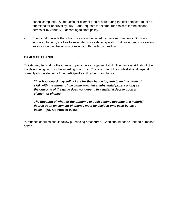school campuses. All requests for exempt fund raisers during the first semester must be submitted for approval by July 1, and requests for exempt fund raisers for the second semester by January 1, according to state policy.

 Events held outside the school day are not affected by these requirements. Boosters, school clubs, etc., are free to select items for sale for specific fund raising and concession sales as long as the activity does not conflict with this position.

# **GAMES OF CHANCE**

Tickets may be sold for the chance to participate in a game of skill. The game of skill should be the determining factor in the awarding of a prize. The outcome of the contest should depend primarily on the element of the participant's skill rather than chance.

*"A school board may sell tickets for the chance to participate in a game of skill, with the winner of the game awarded a substantial prize, so long as the outcome of the game does not depend in a material degree upon an element of chance.*

*The question of whether the outcome of such a game depends in a material degree upon an element of chance must be decided on a case-by-case basis."* **(AG Opinion 89-00168)**

Purchases of prizes should follow purchasing procedures. Cash should not be used to purchase prizes.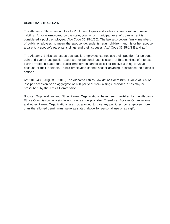#### **ALABAMA ETHICS LAW**

The Alabama Ethics Law applies to Public employees and violations can result in criminal liability. Anyone employed by the state, county, or municipal level of government is considered a public employee. ALA Code 36-25-1(25}, The law also covers family members of public employees to mean the spouse, dependents, adult children and his or her spouse, a parent, a spouse's parents, siblings and their spouses. ALA Code 36-25-1(13} and (14}

The Alabama Ethics law states that public employees cannot use their position for personal gain and cannot use public resources for personal use. It also prohibits conflicts of interest. Furthermore, it states that public employees cannot solicit or receive a thing of value because of their position. Public employees cannot accept anything to influence their official actions.

Act 2012-433, August 1, 2012, The Alabama Ethics Law defines deminimus value at \$25 or less per occasion or an aggregate of \$50 per year from a single provider or as may be prescribed by the Ethics Commission.

Booster Organizations and Other Parent Organizations have been identified by the Alabama Ethics Commission as a single entity or as one provider. Therefore, Booster Organizations and other Parent Organizations are not allowed to give any public school employee more than the allowed deminimus value as stated above for personal use or as a gift.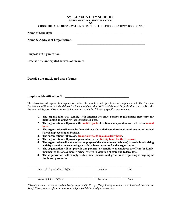#### **SYLACAUGA CITY SCHOOLS AGREEMENT FOR THE OPERATION OF**

#### **SCHOOL-RELATED ORGANIZATION OUTSIDE OF THE SCHOOL SYSTEM'S BOOKS (PTO)**

| Name & Address of Organization: Name & Address of Organization:                                                                                                                                                                |  |
|--------------------------------------------------------------------------------------------------------------------------------------------------------------------------------------------------------------------------------|--|
|                                                                                                                                                                                                                                |  |
| Purpose of Organization: National Contract of Contract of Contract of Contract of Contract of Contract of Contract of Contract of Contract of Contract of Contract of Contract of Contract of Contract of Contract of Contract |  |

**Describe the anticipated sources of income:**

**Describe the anticipated uses of funds:**

#### **Employer Identification No.:\_\_\_\_\_\_\_\_\_\_\_\_\_\_\_\_\_\_\_\_\_\_\_\_\_\_\_\_\_\_\_\_\_\_\_\_\_\_\_\_\_\_**

The above-named organization agrees to conduct its activities and operations in compliance with the Alabama Department of Education's *Guidelines for Financial Operations of School-Related Organizations* and the Board's *Booster and Support Organization Guidelines* including the following specific requirements:

- **1. The organization will comply with Internal Revenue Service requirements necessary for maintaining an** *Employer Identification Number*.
- **2. The organization will provide the audit reports of its financial operations on at least an annual basis**.
- **3. The organization will make its financial records available to the school's auditors or authorized school employees upon request.**
- **4. The organization will provide financial reports on a quarterly basis.**
- **5. The organization will provide proof of a current fidelity bond for the treasurer.**
- **6. The organization will not allow an employee of the above-named school(s) to lead a fund-raising activity or maintain accounting records or bank accounts for the organization.**
- **7. The organization will not provide any payment or benefit to an employee or officer (or family member) of the above-named school system in violation of state and federal laws.**
- **8. The organization will comply with district policies and procedures regarding receipting of funds and purchasing.**

| Name of Organization's Officer | Position | Date |
|--------------------------------|----------|------|
| Name of School Official        | Position | Date |

*This contract shall be returned to the school principal within 20 days. The following items shall be enclosed with the contract: list of officers, a current financial statement and proof of fidelity bond for the treasurer.*